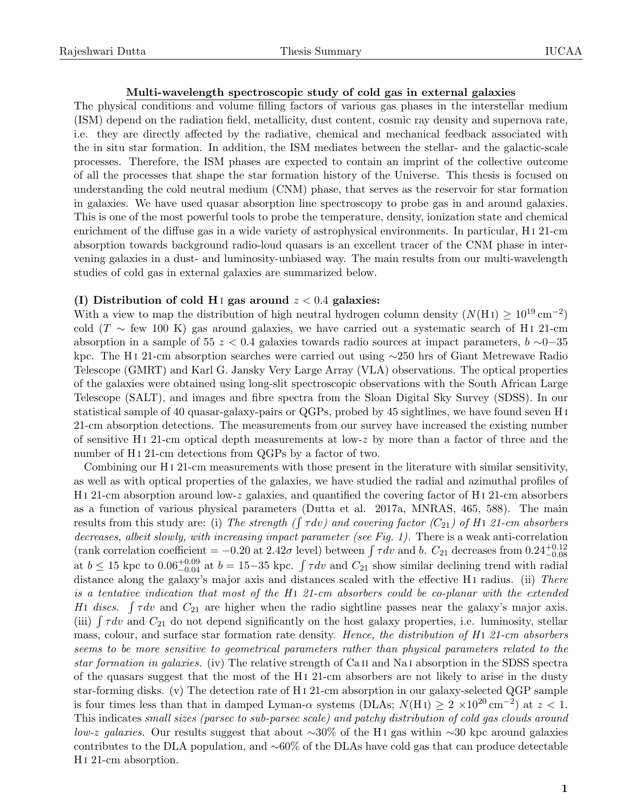## Multi-wavelength spectroscopic study of cold gas in external galaxies

The physical conditions and volume filling factors of various gas phases in the interstellar medium (ISM) depend on the radiation field, metallicity, dust content, cosmic ray density and supernova rate, i.e. they are directly affected by the radiative, chemical and mechanical feedback associated with the in situ star formation. In addition, the ISM mediates between the stellar- and the galactic-scale processes. Therefore, the ISM phases are expected to contain an imprint of the collective outcome of all the processes that shape the star formation history of the Universe. This thesis is focused on understanding the cold neutral medium (CNM) phase, that serves as the reservoir for star formation in galaxies. We have used quasar absorption line spectroscopy to probe gas in and around galaxies. This is one of the most powerful tools to probe the temperature, density, ionization state and chemical enrichment of the diffuse gas in a wide variety of astrophysical environments. In particular, H i 21-cm absorption towards background radio-loud quasars is an excellent tracer of the CNM phase in intervening galaxies in a dust- and luminosity-unbiased way. The main results from our multi-wavelength studies of cold gas in external galaxies are summarized below.

## (I) Distribution of cold H<sub>I</sub> gas around  $z < 0.4$  galaxies:

With a view to map the distribution of high neutral hydrogen column density  $(N(HI) \geq 10^{19} \text{ cm}^{-2})$ cold (T  $\sim$  few 100 K) gas around galaxies, we have carried out a systematic search of H i 21-cm absorption in a sample of 55  $z < 0.4$  galaxies towards radio sources at impact parameters,  $b \sim 0-35$ kpc. The H i 21-cm absorption searches were carried out using ∼250 hrs of Giant Metrewave Radio Telescope (GMRT) and Karl G. Jansky Very Large Array (VLA) observations. The optical properties of the galaxies were obtained using long-slit spectroscopic observations with the South African Large Telescope (SALT), and images and fibre spectra from the Sloan Digital Sky Survey (SDSS). In our statistical sample of 40 quasar-galaxy-pairs or QGPs, probed by 45 sightlines, we have found seven H i 21-cm absorption detections. The measurements from our survey have increased the existing number of sensitive H<sub>1</sub> 21-cm optical depth measurements at low-z by more than a factor of three and the number of H<sub>1</sub> 21-cm detections from QGPs by a factor of two.

Combining our H<sub>I</sub> 21-cm measurements with those present in the literature with similar sensitivity, as well as with optical properties of the galaxies, we have studied the radial and azimuthal profiles of H i 21-cm absorption around low-z galaxies, and quantified the covering factor of H i 21-cm absorbers as a function of various physical parameters (Dutta et al. 2017a, MNRAS, 465, 588). The main results from this study are: (i) The strength ( $\int \tau dv$ ) and covering factor (C<sub>21</sub>) of H<sub>1</sub> 21-cm absorbers decreases, albeit slowly, with increasing impact parameter (see Fig. 1). There is a weak anti-correlation (rank correlation coefficient =  $-0.20$  at 2.42 $\sigma$  level) between  $\int \tau dv$  and b.  $C_{21}$  decreases from  $0.24^{+0.12}_{-0.08}$ at  $b \le 15$  kpc to  $0.06_{-0.04}^{+0.09}$  at  $b = 15-35$  kpc.  $\int \tau dv$  and  $C_{21}$  show similar declining trend with radial distance along the galaxy's major axis and distances scaled with the effective H<sub>I</sub> radius. (ii) There is a tentative indication that most of the H<sub>1</sub> 21-cm absorbers could be co-planar with the extended HI discs.  $\int \tau dv$  and  $C_{21}$  are higher when the radio sightline passes near the galaxy's major axis. (iii)  $\int \tau dv$  and  $C_{21}$  do not depend significantly on the host galaxy properties, i.e. luminosity, stellar mass, colour, and surface star formation rate density. Hence, the distribution of H<sub>1</sub> 21-cm absorbers seems to be more sensitive to geometrical parameters rather than physical parameters related to the star formation in galaxies. (iv) The relative strength of Ca ii and Na i absorption in the SDSS spectra of the quasars suggest that the most of the H i 21-cm absorbers are not likely to arise in the dusty star-forming disks. (v) The detection rate of H i 21-cm absorption in our galaxy-selected QGP sample is four times less than that in damped Lyman- $\alpha$  systems (DLAs;  $N(HI) \geq 2 \times 10^{20}$  cm<sup>-2</sup>) at  $z < 1$ . This indicates small sizes (parsec to sub-parsec scale) and patchy distribution of cold gas clouds around low-z galaxies. Our results suggest that about ~30% of the H<sub>I</sub> gas within ~30 kpc around galaxies contributes to the DLA population, and ∼60% of the DLAs have cold gas that can produce detectable H i 21-cm absorption.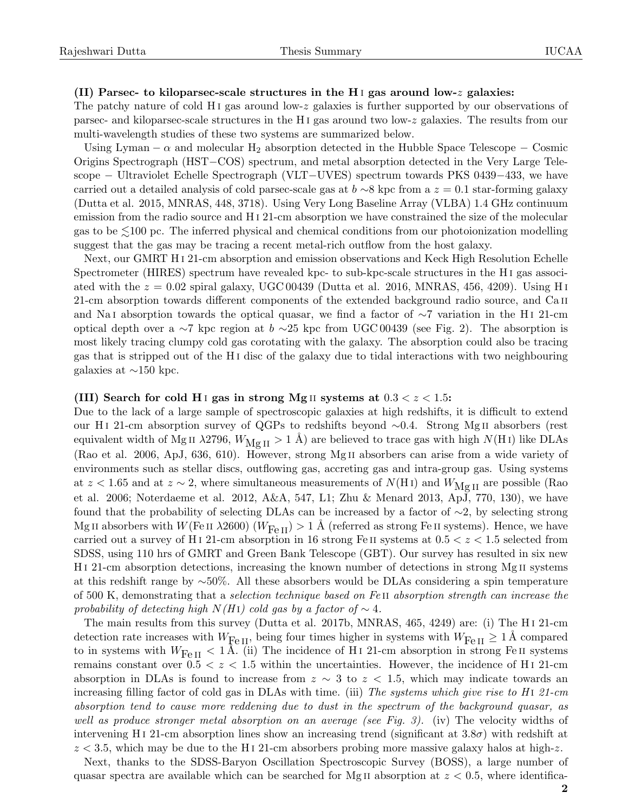## (II) Parsec- to kiloparsec-scale structures in the H<sub>I</sub> gas around low-z galaxies:

The patchy nature of cold H<sub>1</sub> gas around low-z galaxies is further supported by our observations of parsec- and kiloparsec-scale structures in the H i gas around two low-z galaxies. The results from our multi-wavelength studies of these two systems are summarized below.

Using Lyman  $-\alpha$  and molecular H<sub>2</sub> absorption detected in the Hubble Space Telescope – Cosmic Origins Spectrograph (HST−COS) spectrum, and metal absorption detected in the Very Large Telescope − Ultraviolet Echelle Spectrograph (VLT−UVES) spectrum towards PKS 0439−433, we have carried out a detailed analysis of cold parsec-scale gas at  $b \sim 8$  kpc from a  $z = 0.1$  star-forming galaxy (Dutta et al. 2015, MNRAS, 448, 3718). Using Very Long Baseline Array (VLBA) 1.4 GHz continuum emission from the radio source and H i 21-cm absorption we have constrained the size of the molecular gas to be  $\leq 100$  pc. The inferred physical and chemical conditions from our photoionization modelling suggest that the gas may be tracing a recent metal-rich outflow from the host galaxy.

Next, our GMRT H i 21-cm absorption and emission observations and Keck High Resolution Echelle Spectrometer (HIRES) spectrum have revealed kpc- to sub-kpc-scale structures in the H i gas associated with the  $z = 0.02$  spiral galaxy, UGC 00439 (Dutta et al. 2016, MNRAS, 456, 4209). Using H<sub>I</sub> 21-cm absorption towards different components of the extended background radio source, and Ca ii and Na i absorption towards the optical quasar, we find a factor of ∼7 variation in the H i 21-cm optical depth over a ∼7 kpc region at  $b \sim 25$  kpc from UGC 00439 (see Fig. 2). The absorption is most likely tracing clumpy cold gas corotating with the galaxy. The absorption could also be tracing gas that is stripped out of the H i disc of the galaxy due to tidal interactions with two neighbouring galaxies at  $\sim$ 150 kpc.

## (III) Search for cold H<sub>I</sub> gas in strong Mg<sub>II</sub> systems at  $0.3 < z < 1.5$ :

Due to the lack of a large sample of spectroscopic galaxies at high redshifts, it is difficult to extend our H<sub>I</sub> 21-cm absorption survey of QGPs to redshifts beyond ∼0.4. Strong Mg<sub>II</sub> absorbers (rest equivalent width of Mg II  $\lambda$ 2796,  $W_{\text{Mg II}} > 1$  Å) are believed to trace gas with high  $N(H I)$  like DLAs (Rao et al. 2006, ApJ, 636, 610). However, strong Mg ii absorbers can arise from a wide variety of environments such as stellar discs, outflowing gas, accreting gas and intra-group gas. Using systems at  $z < 1.65$  and at  $z \sim 2$ , where simultaneous measurements of  $N(HI)$  and  $W_{\text{Mg II}}$  are possible (Rao et al. 2006; Noterdaeme et al. 2012, A&A, 547, L1; Zhu & Menard 2013, ApJ, 770, 130), we have found that the probability of selecting DLAs can be increased by a factor of ∼2, by selecting strong Mg II absorbers with  $W(\text{Fe II } \lambda 2600)$  ( $W_{\text{Fe II}}$ ) > 1 Å (referred as strong Fe II systems). Hence, we have carried out a survey of H<sub>1</sub> 21-cm absorption in 16 strong Fe II systems at  $0.5 < z < 1.5$  selected from SDSS, using 110 hrs of GMRT and Green Bank Telescope (GBT). Our survey has resulted in six new H i 21-cm absorption detections, increasing the known number of detections in strong Mg ii systems at this redshift range by ∼50%. All these absorbers would be DLAs considering a spin temperature of 500 K, demonstrating that a selection technique based on Fe ii absorption strength can increase the probability of detecting high  $N(HI)$  cold gas by a factor of  $\sim 4$ .

The main results from this survey (Dutta et al. 2017b, MNRAS, 465, 4249) are: (i) The H i 21-cm detection rate increases with  $W_{\text{Fe II}}$ , being four times higher in systems with  $W_{\text{Fe II}} \geq 1 \text{ Å}$  compared to in systems with  $W_{\text{Fe II}} < 1 \text{ Å}$ . (ii) The incidence of H<sub>1</sub> 21-cm absorption in strong Fe<sub>II</sub> systems remains constant over  $0.5 < z < 1.5$  within the uncertainties. However, the incidence of H<sub>I</sub> 21-cm absorption in DLAs is found to increase from  $z \sim 3$  to  $z < 1.5$ , which may indicate towards an increasing filling factor of cold gas in DLAs with time. (iii) The systems which give rise to  $H_1$  21-cm absorption tend to cause more reddening due to dust in the spectrum of the background quasar, as well as produce stronger metal absorption on an average (see Fig. 3). (iv) The velocity widths of intervening H<sub>I</sub> 21-cm absorption lines show an increasing trend (significant at  $3.8\sigma$ ) with redshift at  $z < 3.5$ , which may be due to the H<sub>1</sub> 21-cm absorbers probing more massive galaxy halos at high-z.

Next, thanks to the SDSS-Baryon Oscillation Spectroscopic Survey (BOSS), a large number of quasar spectra are available which can be searched for Mg II absorption at  $z < 0.5$ , where identifica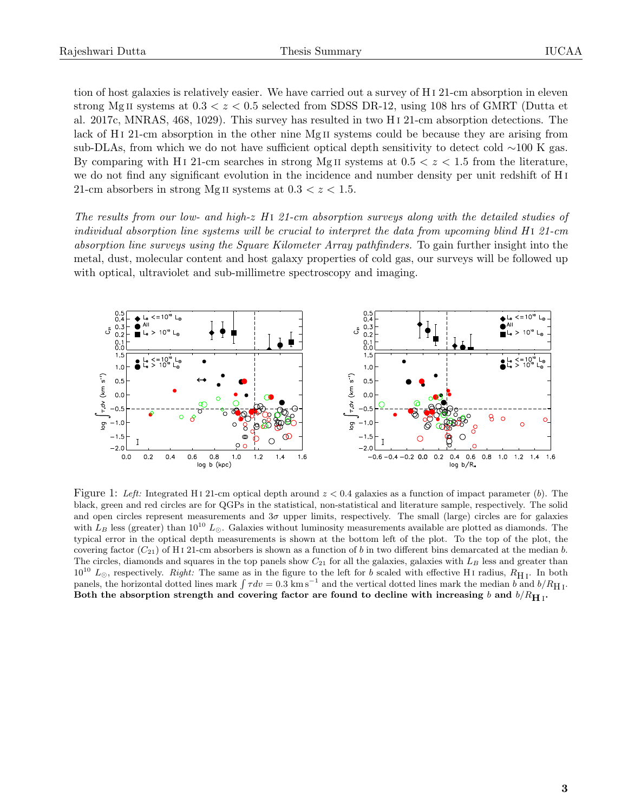tion of host galaxies is relatively easier. We have carried out a survey of H i 21-cm absorption in eleven strong Mg II systems at  $0.3 < z < 0.5$  selected from SDSS DR-12, using 108 hrs of GMRT (Dutta et al. 2017c, MNRAS, 468, 1029). This survey has resulted in two H i 21-cm absorption detections. The lack of H<sub>I</sub> 21-cm absorption in the other nine Mg<sub>II</sub> systems could be because they are arising from sub-DLAs, from which we do not have sufficient optical depth sensitivity to detect cold ∼100 K gas. By comparing with H<sub>I</sub> 21-cm searches in strong Mg<sub>II</sub> systems at  $0.5 < z < 1.5$  from the literature, we do not find any significant evolution in the incidence and number density per unit redshift of H i 21-cm absorbers in strong Mg II systems at  $0.3 < z < 1.5$ .

The results from our low- and high-z  $H_1$  21-cm absorption surveys along with the detailed studies of individual absorption line systems will be crucial to interpret the data from upcoming blind  $H_1$  21-cm absorption line surveys using the Square Kilometer Array pathfinders. To gain further insight into the metal, dust, molecular content and host galaxy properties of cold gas, our surveys will be followed up with optical, ultraviolet and sub-millimetre spectroscopy and imaging.



Figure 1: Left: Integrated H<sub>1</sub> 21-cm optical depth around  $z < 0.4$  galaxies as a function of impact parameter (b). The black, green and red circles are for QGPs in the statistical, non-statistical and literature sample, respectively. The solid and open circles represent measurements and  $3\sigma$  upper limits, respectively. The small (large) circles are for galaxies with  $L_B$  less (greater) than 10<sup>10</sup>  $L_{\odot}$ . Galaxies without luminosity measurements available are plotted as diamonds. The typical error in the optical depth measurements is shown at the bottom left of the plot. To the top of the plot, the covering factor  $(C_{21})$  of H<sub>1</sub>21-cm absorbers is shown as a function of b in two different bins demarcated at the median b. The circles, diamonds and squares in the top panels show  $C_{21}$  for all the galaxies, galaxies with  $L_B$  less and greater than  $10^{10}$   $L_{\odot}$ , respectively. Right: The same as in the figure to the left for b scaled with effective H<sub>I</sub> radius,  $R_{\rm H\,I}$ . In both panels, the horizontal dotted lines mark  $\int \tau dv = 0.3 \text{ km s}^{-1}$  and the vertical dotted lines mark the median b and  $b/R_{\text{H I}}$ . Both the absorption strength and covering factor are found to decline with increasing  $b$  and  $b/R_{\hbox{H~\small{I}}}$ .